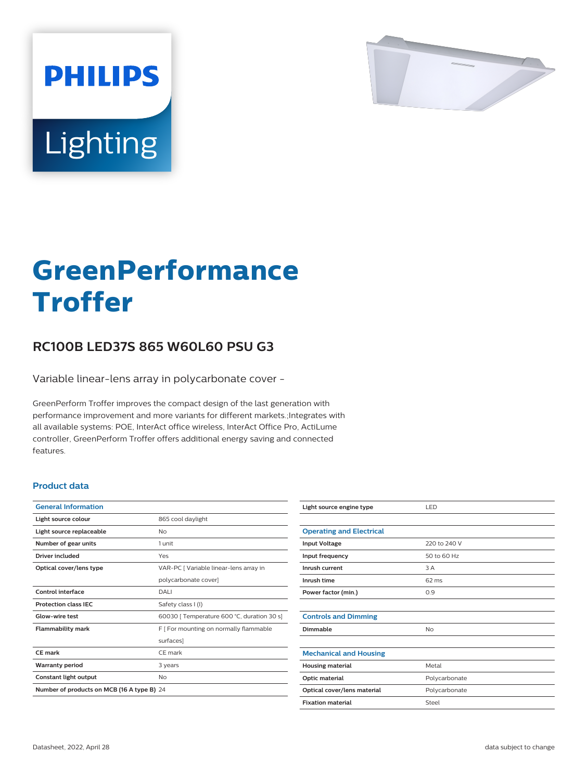

# Lighting

**PHILIPS** 

# **GreenPerformance Troffer**

## **RC100B LED37S 865 W60L60 PSU G3**

Variable linear-lens array in polycarbonate cover -

GreenPerform Troffer improves the compact design of the last generation with performance improvement and more variants for different markets.;Integrates with all available systems: POE, InterAct office wireless, InterAct Office Pro, ActiLume controller, GreenPerform Troffer offers additional energy saving and connected features.

#### **Product data**

| <b>General Information</b>                 |                                            |  |
|--------------------------------------------|--------------------------------------------|--|
| Light source colour                        | 865 cool daylight                          |  |
| Light source replaceable                   | Nο                                         |  |
| Number of gear units                       | 1 unit                                     |  |
| Driver included                            | Yes                                        |  |
| Optical cover/lens type                    | VAR-PC [ Variable linear-lens array in     |  |
|                                            | polycarbonate cover]                       |  |
| <b>Control interface</b>                   | DALI                                       |  |
| <b>Protection class IEC</b>                | Safety class I (I)                         |  |
| Glow-wire test                             | 60030   Temperature 600 °C, duration 30 s] |  |
| <b>Flammability mark</b>                   | F   For mounting on normally flammable     |  |
|                                            | surfaces]                                  |  |
| <b>CE mark</b>                             | CF mark                                    |  |
| <b>Warranty period</b>                     | 3 years                                    |  |
| Constant light output                      | No                                         |  |
| Number of products on MCB (16 A type B) 24 |                                            |  |

| Light source engine type        | LED           |
|---------------------------------|---------------|
|                                 |               |
| <b>Operating and Electrical</b> |               |
| <b>Input Voltage</b>            | 220 to 240 V  |
| Input frequency                 | 50 to 60 Hz   |
| Inrush current                  | 3 A           |
| Inrush time                     | 62 ms         |
| Power factor (min.)             | 0.9           |
|                                 |               |
| <b>Controls and Dimming</b>     |               |
| Dimmable                        | No            |
|                                 |               |
| <b>Mechanical and Housing</b>   |               |
| <b>Housing material</b>         | Metal         |
| <b>Optic material</b>           | Polycarbonate |
| Optical cover/lens material     | Polycarbonate |
| <b>Fixation material</b>        | Steel         |